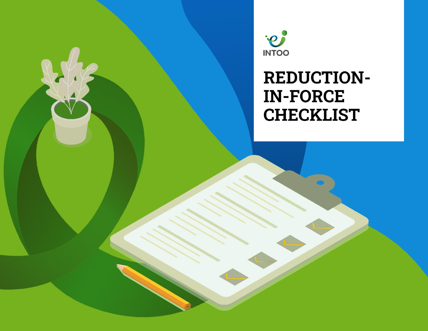

2 / 9 **I N T O O** / R E D U C T I ON - IN - F O R C E C H E C KL IS T

# **REDUCTION-IN-FORCE CHECKLIST**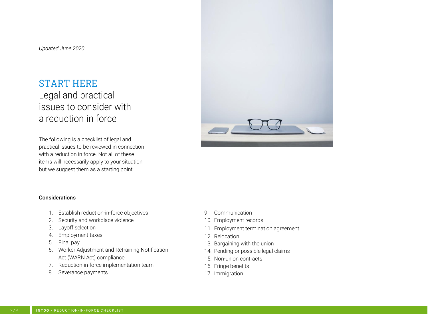### START HERE

# Legal and practical issues to consider with a reduction in force

The following is a checklist of legal and practical issues to be reviewed in connection with a reduction in force. Not all of these items will necessarily apply to your situation, but we suggest them as a starting point.



#### Considerations

- 1. Establish reduction-in-force objectives
- 2. Security and workplace violence
- 3. Layoff selection
- 4. Employment taxes
- 5. Final pay
- 6. Worker Adjustment and Retraining Notification Act (WARN Act) compliance
- 7. Reduction-in-force implementation team
- 8. Severance payments
- 9. Communication
- 10. Employment records
- 11. Employment termination agreement
- 12. Relocation
- 13. Bargaining with the union
- 14. Pending or possible legal claims
- 15. Non-union contracts
- 16. Fringe benefits
- 17. Immigration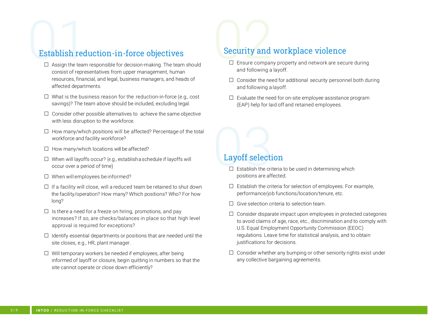# Establish reduction-in-force objectives

- □ Assign the team responsible for decision-making. The team should consist of representatives from upper management, human resources, financial, and legal, business managers, and heads of affected departments.
- $\Box$  What is the business reason for the reduction-in-force (e.g., cost savings)? The team above should be included, excluding legal.
- $\square$  Consider other possible alternatives to achieve the same objective with less disruption to the workforce.
- $\Box$  How many/which positions will be affected? Percentage of the total workforce and facility workforce?
- $\Box$  How many/which locations will be affected?
- $\square$  When will layoffs occur? (e.g., establisha schedule if layoffs will occur over a period of time)
- □ When will employees be informed?
- $\square$  If a facility will close, will a reduced team be retained to shut down the facility/operation? How many? Which positions? Who? For how long?
- $\square$  Is there a need for a freeze on hiring, promotions, and pay increases? If so, are checks/balances in place so that high level approval is required for exceptions?
- $\Box$  Identify essential departments or positions that are needed until the site closes, e.g., HR, plant manager.
- □ Will temporary workers be needed if employees, after being informed of layoff or closure, begin quitting in numbers so that the site cannot operate or close down efficiently?

# Security and workplace violence

- $\square$  Ensure company property and network are secure during and following a layoff.
- $\square$  Consider the need for additional security personnel both during and following a layoff.
- $\square$  Evaluate the need for on-site employee assistance program (EAP) help for laid off and retained employees.

#### Layoff selection

- $\square$  Establish the criteria to be used in determining which positions are affected.
- $\square$  Establish the criteria for selection of employees. For example, performance/job functions/location/tenure, etc.
- $\Box$  Give selection criteria to selection team.
- $\square$  Consider disparate impact upon employees in protected categories to avoid claims of age, race, etc., discrimination and to comply with U.S. Equal Employment Opportunity Commission (EEOC) regulations. Leave time for statistical analysis, and to obtain justifications for decisions.
- $\square$  Consider whether any bumping or other seniority rights exist under any collective bargaining agreements.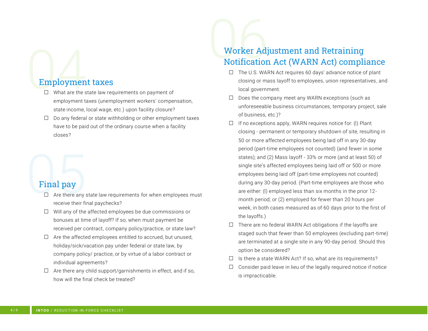### Employment taxes

- $\Box$  What are the state law requirements on payment of employment taxes (unemployment workers' compensation, state income, local wage, etc.) upon facility closure?
- $\Box$  Do any federal or state withholding or other employment taxes have to be paid out of the ordinary course when a facility closes?

### Final pay

- $\Box$  Are there any state law requirements for when employees must receive their final paychecks?
- □ Will any of the affected employees be due commissions or bonuses at time of layoff? If so, when must payment be received per contract, company policy/practice, or state law?
- $\Box$  Are the affected employees entitled to accrued, but unused, holiday/sick/vacation pay under federal or state law, by company policy/ practice, or by virtue of a labor contract or individual agreements?
- $\Box$  Are there any child support/garnishments in effect, and if so, how will the final check be treated?

# Worker Adjustment and Retraining Notification Act (WARN Act) compliance

- □ The U.S. WARN Act requires 60 days' advance notice of plant closing or mass layoff to employees, union representatives, and local government.
- $\Box$  Does the company meet any WARN exceptions (such as unforeseeable business circumstances, temporary project, sale of business, etc.)?
- $\Box$  If no exceptions apply, WARN requires notice for: (I) Plant closing - permanent or temporary shutdown of site, resulting in 50 or more affected employees being laid off in any 30-day period (part-time employees not counted) (and fewer in some states); and (2) Mass layoff - 33% or more (and at least 50) of single site's affected employees being laid off or 500 or more employees being laid off (part-time employees not counted) during any 30-day period. (Part-time employees are those who are either: (l) employed less than six months in the prior 12 month period; or (2) employed for fewer than 20 hours per week, in both cases measured as of 60 days prior to the first of the layoffs.)
- $\square$  There are no federal WARN Act obligations if the layoffs are staged such that fewer than 50 employees (excluding part-time) are terminated at a single site in any 90-day period. Should this option be considered?
- $\Box$  Is there a state WARN Act? If so, what are its requirements?
- $\Box$  Consider paid leave in lieu of the legally required notice if notice is impracticable.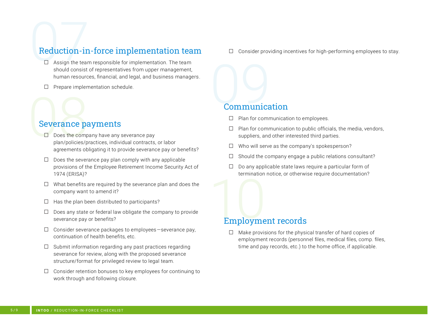# Reduction-in-force implementation team

- $\Box$  Assign the team responsible for implementation. The team should consist of representatives from upper management, human resources, financial, and legal, and business managers.
- □ Prepare implementation schedule.

#### Severance payments

- □ Does the company have any severance pay plan/policies/practices, individual contracts, or labor agreements obligating it to provide severance pay or benefits?
- $\Box$  Does the severance pay plan comply with any applicable provisions of the Employee Retirement Income Security Act of 1974 (ERISA)?
- $\square$  What benefits are required by the severance plan and does the company want to amend it?
- $\Box$  Has the plan been distributed to participants?
- $\Box$  Does any state or federal law obligate the company to provide severance pay or benefits?
- $\Box$  Consider severance packages to employees severance pay, continuation of health benefits, etc.
- $\Box$  Submit information regarding any past practices regarding severance for review, along with the proposed severance structure/format for privileged review to legal team.
- $\Box$  Consider retention bonuses to key employees for continuing to work through and following closure.

 $\Box$  Consider providing incentives for high-performing employees to stay.

#### Communication

- □ Plan for communication to employees.
- $\Box$  Plan for communication to public officials, the media, vendors, suppliers, and other interested third parties.
- $\Box$  Who will serve as the company's spokesperson?
- $\Box$  Should the company engage a public relations consultant?
- $\Box$  Do any applicable state laws require a particular form of termination notice, or otherwise require documentation?

#### Employment records

 $\Box$  Make provisions for the physical transfer of hard copies of employment records (personnel files, medical files, comp. files, time and pay records, etc.) to the home office, if applicable.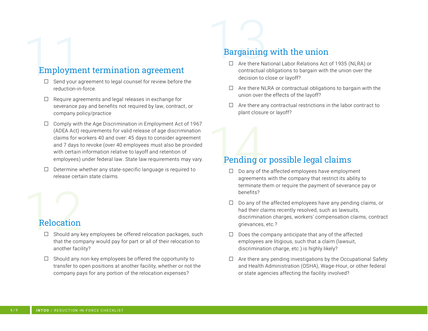# Employment termination agreement

- $\square$  Send your agreement to legal counsel for review before the reduction-in-force.
- $\Box$  Require agreements and legal releases in exchange for severance pay and benefits not required by law, contract, or company policy/practice
- $\Box$  Comply with the Age Discrimination in Employment Act of 1967 (ADEA Act) requirements for valid release of age discrimination claims for workers 40 and over: 45 days to consider agreement and 7 days to revoke (over 40 employees must also be provided with certain information relative to layoff and retention of employees) under federal law. State law requirements may vary.
- $\square$  Determine whether any state-specific language is required to release certain state claims.

### Relocation

- $\square$  Should any key employees be offered relocation packages, such that the company would pay for part or all of their relocation to another facility?
- $\square$  Should any non-key employees be offered the opportunity to transfer to open positions at another facility, whether or not the company pays for any portion of the relocation expenses?

# Bargaining with the union

- □ Are there National Labor Relations Act of 1935 (NLRA) or contractual obligations to bargain with the union over the decision to close or layoff?
- $\Box$  Are there NLRA or contractual obligations to bargain with the union over the effects of the layoff?
- $\Box$  Are there any contractual restrictions in the labor contract to plant closure or layoff?

### Pending or possible legal claims

- $\Box$  Do any of the affected employees have employment agreements with the company that restrict its ability to terminate them or require the payment of severance pay or benefits?
- $\Box$  Do any of the affected employees have any pending claims, or had their claims recently resolved, such as lawsuits, discrimination charges, workers' compensation claims, contract grievances, etc.?
- $\Box$  Does the company anticipate that any of the affected employees are litigious, such that a claim (lawsuit, discrimination charge, etc.) is highly likely?
- $\Box$  Are there any pending investigations by the Occupational Safety and Health Administration (OSHA), Wage-Hour, or other federal or state agencies affecting the facility involved?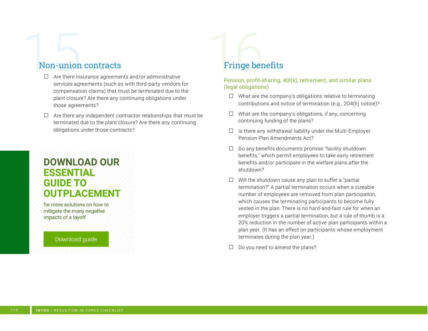#### Non-union contracts

- $\Box$  Are there insurance agreements and/or administrative services agreements (such as with third-party vendors for compensation claims) that must be terminated due to the plant closure? Are there any continuing obligations under those agreements?
- $\Box$  Are there any independent contractor relationships that must be terminated due to the plant closure? Are there any continuing obligations under those contracts?

# **DOWNLOAD OUR ESSENTIAL GUIDE TO OUTPLACEMENT**

for more solutions on how to mitigate the many negative impacts of a layoff

#### Download guide

# Fringe benefits

Pension, profit-sharing, 40l(k), retirement, and similar plans (legal obligations)

- $\Box$  What are the company's obligations relative to terminating contributions and notice of termination (e.g., 2O4(h) notice)?
- $\Box$  What are the company's obligations, if any, concerning continuing funding of the plans?
- $\Box$  Is there any withdrawal liability under the Multi-Employer Pension Plan Amendments Act?
- $\Box$  Do any benefits documents promise "facility shutdown" benefits," which permit employees to take early retirement benefits and/or participate in the welfare plans after the shutdown?
- $\Box$  Will the shutdown cause any plan to suffer a "partial" termination?" A partial termination occurs when a sizeable number of employees are removed from plan participation, which causes the terminating participants to become fully vested in the plan. There is no hard-and-fast rule for when an employer triggers a partial termination, but a rule of thumb is a 20% reduction in the number of active plan participants within a plan year. (It has an effect on participants whose employment terminates during the plan year.)
- $\Box$  Do you need to amend the plans?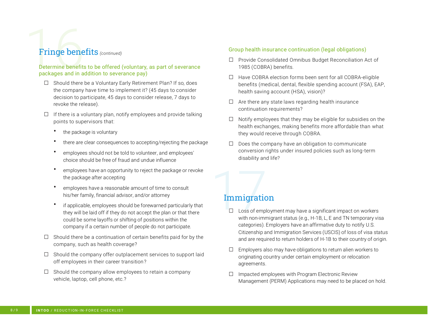# Fringe benefits *(continued)*

#### Determine benefits to be offered (voluntary, as part of severance packages and in addition to severance pay)

- □ Should there be a Voluntary Early Retirement Plan? If so, does the company have time to implement it? (45 days to consider decision to participate, 45 days to consider release, 7 days to revoke the release).
- $\Box$  If there is a voluntary plan, notify employees and provide talking points to supervisors that:
	- the package is voluntary
	- there are clear consequences to accepting/rejecting the package
	- employees should not be told to volunteer, and employees' choice should be free of fraud and undue influence
	- employees have an opportunity to reject the package or revoke the package after accepting
	- employees have a reasonable amount of time to consult his/her family, financial advisor, and/or attorney
	- if applicable, employees should be forewarned particularly that they will be laid off if they do not accept the plan or that there could be some layoffs or shifting of positions within the company if a certain number of people do not participate.
- $\Box$  Should there be a continuation of certain benefits paid for by the company, such as health coverage?
- $\square$  Should the company offer outplacement services to support laid off employees in their career transition?
- $\Box$  Should the company allow employees to retain a company vehicle, laptop, cell phone, etc.?

#### Group health insurance continuation (legal obligations)

- □ Provide Consolidated Omnibus Budget Reconciliation Act of 1985 (COBRA) benefits.
- □ Have COBRA election forms been sent for all COBRA-eligible benefits (medical, dental, flexible spending account (FSA), EAP, health saving account (HSA), vision)?
- $\Box$  Are there any state laws regarding health insurance continuation requirements?
- □ Notify employees that they may be eligible for subsidies on the health exchanges, making benefits more affordable than what they would receive through COBRA.
- $\Box$  Does the company have an obligation to communicate conversion rights under insured policies such as long-term disability and life?

### Immigration

- $\Box$  Loss of employment may have a significant impact on workers with non-immigrant status (e.g., H-1B, L, E and TN temporary visa categories). Employers have an affirmative duty to notify U.S. Citizenship and Immigration Services (USCIS) of loss of visa status and are required to return holders of H-1B to their country of origin.
- $\square$  Employers also may have obligations to return alien workers to originating country under certain employment or relocation agreements.
- $\square$  Impacted employees with Program Electronic Review Management (PERM) Applications may need to be placed on hold.